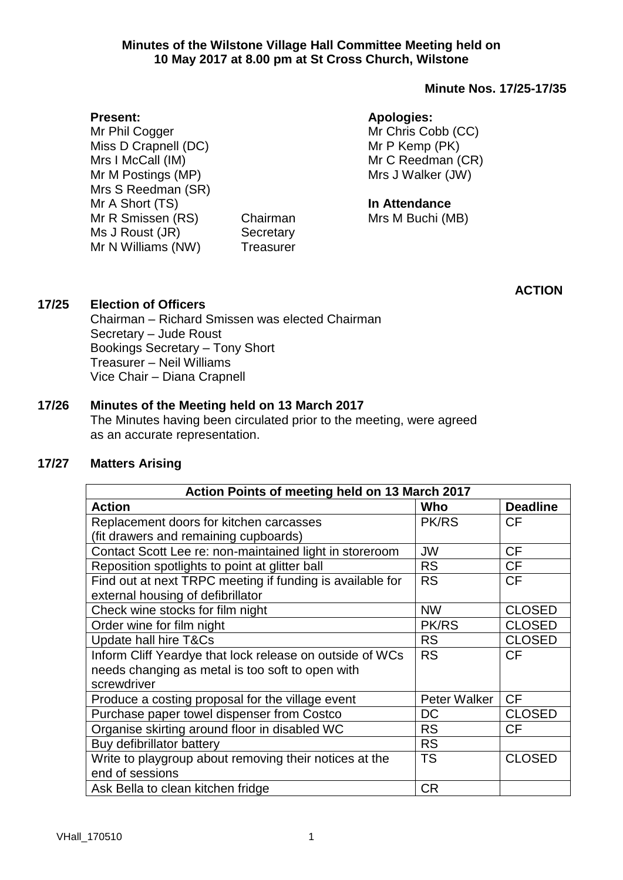#### **Minutes of the Wilstone Village Hall Committee Meeting held on 10 May 2017 at 8.00 pm at St Cross Church, Wilstone**

# **Minute Nos. 17/25-17/35**

#### **Present:**

Mr Phil Cogger Miss D Crapnell (DC) Mrs I McCall (IM) Mr M Postings (MP) Mrs S Reedman (SR) Mr A Short (TS) Mr R Smissen (RS) Chairman Ms J Roust (JR) Secretary Mr N Williams (NW) Treasurer

## **Apologies:**

Mr Chris Cobb (CC) Mr P Kemp (PK) Mr C Reedman (CR) Mrs J Walker (JW)

# **In Attendance**

Mrs M Buchi (MB)

**ACTION**

# **17/25 Election of Officers**

Chairman – Richard Smissen was elected Chairman Secretary – Jude Roust Bookings Secretary – Tony Short Treasurer – Neil Williams Vice Chair – Diana Crapnell

# **17/26 Minutes of the Meeting held on 13 March 2017**

The Minutes having been circulated prior to the meeting, were agreed as an accurate representation.

# **17/27 Matters Arising**

| Action Points of meeting held on 13 March 2017            |              |                 |  |
|-----------------------------------------------------------|--------------|-----------------|--|
| <b>Action</b>                                             | Who          | <b>Deadline</b> |  |
| Replacement doors for kitchen carcasses                   | <b>PK/RS</b> | <b>CF</b>       |  |
| (fit drawers and remaining cupboards)                     |              |                 |  |
| Contact Scott Lee re: non-maintained light in storeroom   | <b>JW</b>    | <b>CF</b>       |  |
| Reposition spotlights to point at glitter ball            | <b>RS</b>    | <b>CF</b>       |  |
| Find out at next TRPC meeting if funding is available for | <b>RS</b>    | <b>CF</b>       |  |
| external housing of defibrillator                         |              |                 |  |
| Check wine stocks for film night                          | <b>NW</b>    | <b>CLOSED</b>   |  |
| Order wine for film night                                 | PK/RS        | <b>CLOSED</b>   |  |
| Update hall hire T&Cs                                     | <b>RS</b>    | <b>CLOSED</b>   |  |
| Inform Cliff Yeardye that lock release on outside of WCs  | <b>RS</b>    | <b>CF</b>       |  |
| needs changing as metal is too soft to open with          |              |                 |  |
| screwdriver                                               |              |                 |  |
| Produce a costing proposal for the village event          | Peter Walker | <b>CF</b>       |  |
| Purchase paper towel dispenser from Costco                | DC           | <b>CLOSED</b>   |  |
| Organise skirting around floor in disabled WC             | <b>RS</b>    | <b>CF</b>       |  |
| Buy defibrillator battery                                 | <b>RS</b>    |                 |  |
| Write to playgroup about removing their notices at the    | <b>TS</b>    | <b>CLOSED</b>   |  |
| end of sessions                                           |              |                 |  |
| Ask Bella to clean kitchen fridge                         | <b>CR</b>    |                 |  |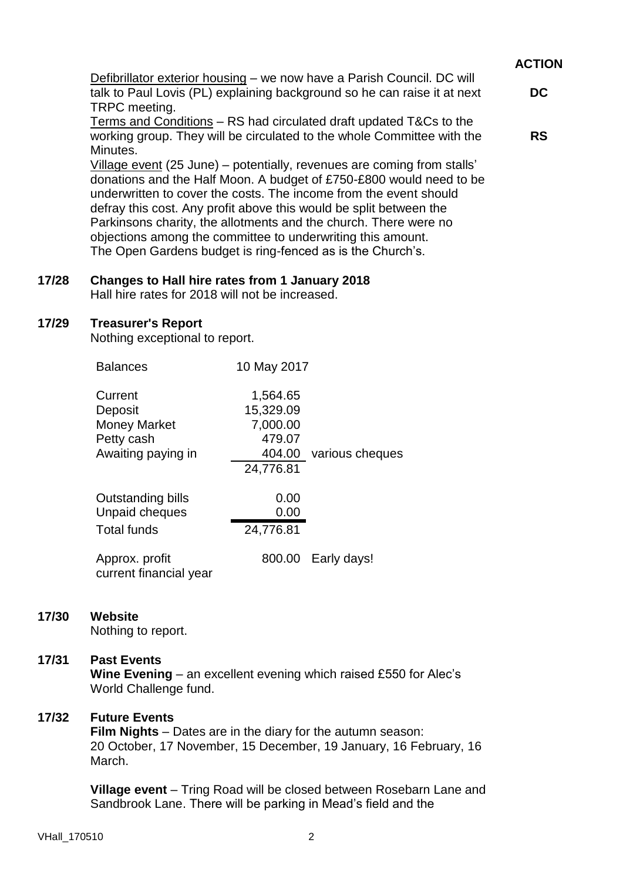|                                                                                                                                                                                                                                                                                                                                                              | <b>ACTION</b> |
|--------------------------------------------------------------------------------------------------------------------------------------------------------------------------------------------------------------------------------------------------------------------------------------------------------------------------------------------------------------|---------------|
| Defibrillator exterior housing – we now have a Parish Council. DC will<br>talk to Paul Lovis (PL) explaining background so he can raise it at next<br>TRPC meeting.                                                                                                                                                                                          | <b>DC</b>     |
| Terms and Conditions – RS had circulated draft updated T&Cs to the<br>working group. They will be circulated to the whole Committee with the<br>Minutes.                                                                                                                                                                                                     | <b>RS</b>     |
| Village event (25 June) – potentially, revenues are coming from stalls'<br>donations and the Half Moon. A budget of £750-£800 would need to be<br>underwritten to cover the costs. The income from the event should<br>defray this cost. Any profit above this would be split between the<br>Derkingene oberitu the elletmente and the church. There were no |               |

Parkinsons charity, the allotments and the church. There were no objections among the committee to underwriting this amount. The Open Gardens budget is ring-fenced as is the Church's.

## **17/28 Changes to Hall hire rates from 1 January 2018**

Hall hire rates for 2018 will not be increased.

### **17/29 Treasurer's Report**

Nothing exceptional to report.

| <b>Balances</b>                                                               | 10 May 2017                                 |                        |
|-------------------------------------------------------------------------------|---------------------------------------------|------------------------|
| Current<br>Deposit<br><b>Money Market</b><br>Petty cash<br>Awaiting paying in | 1,564.65<br>15,329.09<br>7,000.00<br>479.07 | 404.00 various cheques |
|                                                                               | 24,776.81                                   |                        |
| Outstanding bills<br>Unpaid cheques<br><b>Total funds</b>                     | 0.00<br>0.00<br>24,776.81                   |                        |
| Approx. profit<br>current financial year                                      |                                             | 800.00 Early days!     |

# **17/30 Website**

Nothing to report.

# **17/31 Past Events**

**Wine Evening** – an excellent evening which raised £550 for Alec's World Challenge fund.

# **17/32 Future Events**

**Film Nights** – Dates are in the diary for the autumn season: 20 October, 17 November, 15 December, 19 January, 16 February, 16 March.

**Village event** – Tring Road will be closed between Rosebarn Lane and Sandbrook Lane. There will be parking in Mead's field and the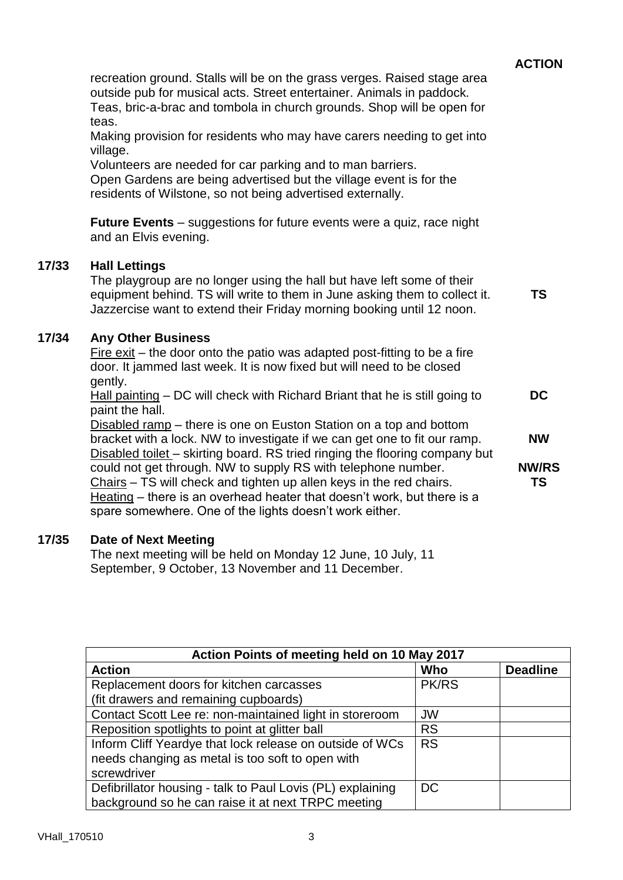|                                                                                                                                                                                                                                                                              | <b>ACTION</b>             |
|------------------------------------------------------------------------------------------------------------------------------------------------------------------------------------------------------------------------------------------------------------------------------|---------------------------|
| recreation ground. Stalls will be on the grass verges. Raised stage area<br>outside pub for musical acts. Street entertainer. Animals in paddock.<br>Teas, bric-a-brac and tombola in church grounds. Shop will be open for<br>teas.                                         |                           |
| Making provision for residents who may have carers needing to get into<br>village.                                                                                                                                                                                           |                           |
| Volunteers are needed for car parking and to man barriers.<br>Open Gardens are being advertised but the village event is for the<br>residents of Wilstone, so not being advertised externally.                                                                               |                           |
| <b>Future Events</b> – suggestions for future events were a quiz, race night<br>and an Elvis evening.                                                                                                                                                                        |                           |
| <b>Hall Lettings</b><br>The playgroup are no longer using the hall but have left some of their<br>equipment behind. TS will write to them in June asking them to collect it.<br>Jazzercise want to extend their Friday morning booking until 12 noon.                        | TS                        |
| <b>Any Other Business</b><br>Fire $exit$ – the door onto the patio was adapted post-fitting to be a fire<br>door. It jammed last week. It is now fixed but will need to be closed                                                                                            |                           |
| gently.<br>$Hall$ painting $-DC$ will check with Richard Briant that he is still going to<br>paint the hall.                                                                                                                                                                 | <b>DC</b>                 |
| Disabled ramp - there is one on Euston Station on a top and bottom<br>bracket with a lock. NW to investigate if we can get one to fit our ramp.<br>Disabled toilet - skirting board. RS tried ringing the flooring company but                                               | <b>NW</b>                 |
| could not get through. NW to supply RS with telephone number.<br>$Chairs - TS$ will check and tighten up allen keys in the red chairs.<br>Heating – there is an overhead heater that doesn't work, but there is a<br>spare somewhere. One of the lights doesn't work either. | <b>NW/RS</b><br><b>TS</b> |
| Date of Next Meeting                                                                                                                                                                                                                                                         |                           |

#### **17/35 Date of Next Meeting**

**17/33 Hall Lettings**

**17/34** 

The next meeting will be held on Monday 12 June, 10 July, 11 September, 9 October, 13 November and 11 December.

| Action Points of meeting held on 10 May 2017               |              |                 |
|------------------------------------------------------------|--------------|-----------------|
| <b>Action</b>                                              | Who          | <b>Deadline</b> |
| Replacement doors for kitchen carcasses                    | <b>PK/RS</b> |                 |
| (fit drawers and remaining cupboards)                      |              |                 |
| Contact Scott Lee re: non-maintained light in storeroom    | <b>JW</b>    |                 |
| Reposition spotlights to point at glitter ball             | <b>RS</b>    |                 |
| Inform Cliff Yeardye that lock release on outside of WCs   | <b>RS</b>    |                 |
| needs changing as metal is too soft to open with           |              |                 |
| screwdriver                                                |              |                 |
| Defibrillator housing - talk to Paul Lovis (PL) explaining | DC.          |                 |
| background so he can raise it at next TRPC meeting         |              |                 |